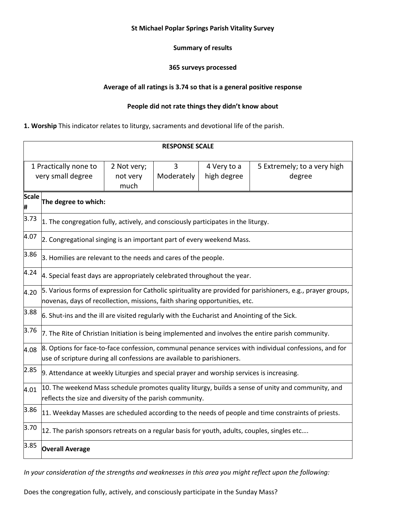#### **St Michael Poplar Springs Parish Vitality Survey**

## **Summary of results**

#### **365 surveys processed**

## **Average of all ratings is 3.74 so that is a general positive response**

## **People did not rate things they didn't know about**

#### **1. Worship** This indicator relates to liturgy, sacraments and devotional life of the parish.

| <b>RESPONSE SCALE</b>                      |                                                                                                                                                                                            |                                 |                 |                            |                                       |  |  |
|--------------------------------------------|--------------------------------------------------------------------------------------------------------------------------------------------------------------------------------------------|---------------------------------|-----------------|----------------------------|---------------------------------------|--|--|
| 1 Practically none to<br>very small degree |                                                                                                                                                                                            | 2 Not very;<br>not very<br>much | 3<br>Moderately | 4 Very to a<br>high degree | 5 Extremely; to a very high<br>degree |  |  |
| <b>Scale</b><br>Ħ,                         | The degree to which:                                                                                                                                                                       |                                 |                 |                            |                                       |  |  |
| 3.73                                       | $ 1$ . The congregation fully, actively, and consciously participates in the liturgy.                                                                                                      |                                 |                 |                            |                                       |  |  |
| 4.07                                       | 2. Congregational singing is an important part of every weekend Mass.                                                                                                                      |                                 |                 |                            |                                       |  |  |
| 3.86                                       | 3. Homilies are relevant to the needs and cares of the people.                                                                                                                             |                                 |                 |                            |                                       |  |  |
| 4.24                                       | 4. Special feast days are appropriately celebrated throughout the year.                                                                                                                    |                                 |                 |                            |                                       |  |  |
| 4.20                                       | 5. Various forms of expression for Catholic spirituality are provided for parishioners, e.g., prayer groups,<br>novenas, days of recollection, missions, faith sharing opportunities, etc. |                                 |                 |                            |                                       |  |  |
| 3.88                                       | $6.$ Shut-ins and the ill are visited regularly with the Eucharist and Anointing of the Sick.                                                                                              |                                 |                 |                            |                                       |  |  |
| 3.76                                       | 7. The Rite of Christian Initiation is being implemented and involves the entire parish community.                                                                                         |                                 |                 |                            |                                       |  |  |
| 4.08                                       | 8. Options for face-to-face confession, communal penance services with individual confessions, and for<br>use of scripture during all confessions are available to parishioners.           |                                 |                 |                            |                                       |  |  |
| 2.85                                       | 9. Attendance at weekly Liturgies and special prayer and worship services is increasing.                                                                                                   |                                 |                 |                            |                                       |  |  |
| 4.01                                       | 10. The weekend Mass schedule promotes quality liturgy, builds a sense of unity and community, and<br>reflects the size and diversity of the parish community.                             |                                 |                 |                            |                                       |  |  |
| 3.86                                       | 11. Weekday Masses are scheduled according to the needs of people and time constraints of priests.                                                                                         |                                 |                 |                            |                                       |  |  |
| 3.70                                       | 12. The parish sponsors retreats on a regular basis for youth, adults, couples, singles etc                                                                                                |                                 |                 |                            |                                       |  |  |
| 3.85                                       | <b>Overall Average</b>                                                                                                                                                                     |                                 |                 |                            |                                       |  |  |

*In your consideration of the strengths and weaknesses in this area you might reflect upon the following:* 

Does the congregation fully, actively, and consciously participate in the Sunday Mass?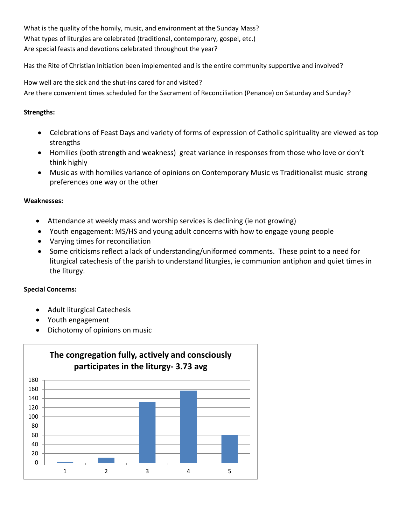What is the quality of the homily, music, and environment at the Sunday Mass? What types of liturgies are celebrated (traditional, contemporary, gospel, etc.) Are special feasts and devotions celebrated throughout the year?

Has the Rite of Christian Initiation been implemented and is the entire community supportive and involved?

How well are the sick and the shut-ins cared for and visited? Are there convenient times scheduled for the Sacrament of Reconciliation (Penance) on Saturday and Sunday?

# **Strengths:**

- Celebrations of Feast Days and variety of forms of expression of Catholic spirituality are viewed as top strengths
- Homilies (both strength and weakness) great variance in responses from those who love or don't think highly
- Music as with homilies variance of opinions on Contemporary Music vs Traditionalist music strong preferences one way or the other

# **Weaknesses:**

- Attendance at weekly mass and worship services is declining (ie not growing)
- Youth engagement: MS/HS and young adult concerns with how to engage young people
- Varying times for reconciliation
- Some criticisms reflect a lack of understanding/uniformed comments. These point to a need for liturgical catechesis of the parish to understand liturgies, ie communion antiphon and quiet times in the liturgy.

# **Special Concerns:**

- Adult liturgical Catechesis
- Youth engagement
- Dichotomy of opinions on music

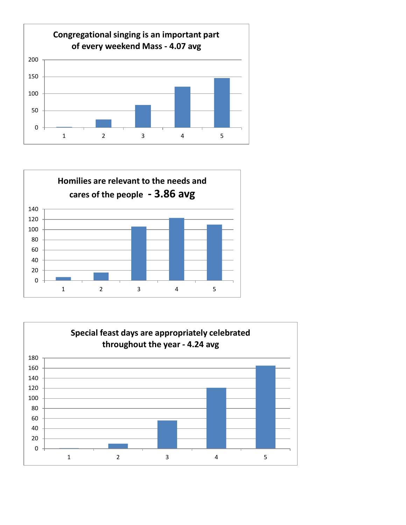



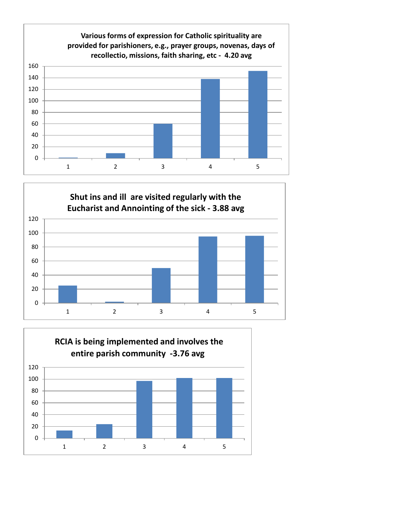



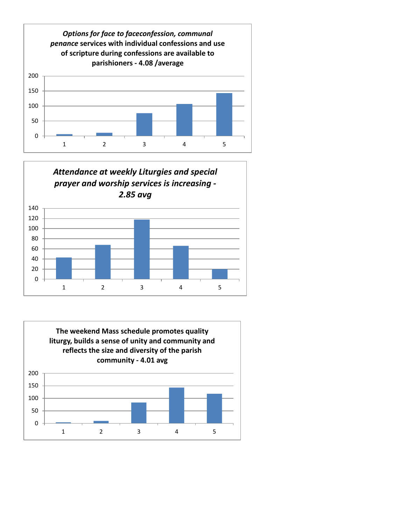



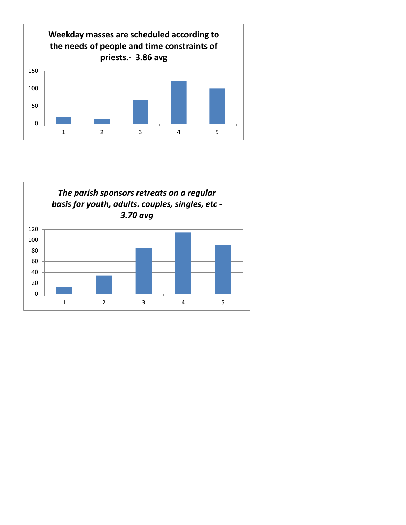

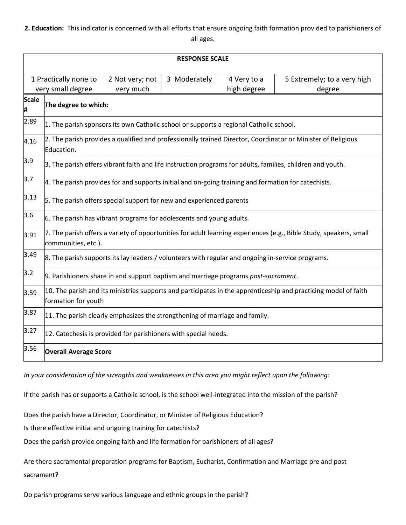## **2. Education:** This indicator is concerned with all efforts that ensure ongoing faith formation provided to parishioners of all ages.

| <b>RESPONSE SCALE</b>                                                      |                                                                                                                                           |              |                            |                                       |  |  |  |
|----------------------------------------------------------------------------|-------------------------------------------------------------------------------------------------------------------------------------------|--------------|----------------------------|---------------------------------------|--|--|--|
| 1 Practically none to<br>2 Not very; not<br>very small degree<br>very much |                                                                                                                                           | 3 Moderately | 4 Very to a<br>high degree | 5 Extremely; to a very high<br>degree |  |  |  |
| <b>Scale</b><br>#                                                          | The degree to which:                                                                                                                      |              |                            |                                       |  |  |  |
| 2.89                                                                       | 1. The parish sponsors its own Catholic school or supports a regional Catholic school.                                                    |              |                            |                                       |  |  |  |
| 4.16                                                                       | 2. The parish provides a qualified and professionally trained Director, Coordinator or Minister of Religious<br>Education.                |              |                            |                                       |  |  |  |
| 3.9                                                                        | 3. The parish offers vibrant faith and life instruction programs for adults, families, children and youth.                                |              |                            |                                       |  |  |  |
| 3.7                                                                        | 4. The parish provides for and supports initial and on-going training and formation for catechists.                                       |              |                            |                                       |  |  |  |
| 3.13                                                                       | 5. The parish offers special support for new and experienced parents                                                                      |              |                            |                                       |  |  |  |
| 3.6                                                                        | 6. The parish has vibrant programs for adolescents and young adults.                                                                      |              |                            |                                       |  |  |  |
| 3.91                                                                       | 7. The parish offers a variety of opportunities for adult learning experiences (e.g., Bible Study, speakers, small<br>communities, etc.). |              |                            |                                       |  |  |  |
| 3.49                                                                       | 8. The parish supports its lay leaders / volunteers with regular and ongoing in-service programs.                                         |              |                            |                                       |  |  |  |
| 3.2                                                                        | 9. Parishioners share in and support baptism and marriage programs post-sacrament.                                                        |              |                            |                                       |  |  |  |
| 3.59                                                                       | 10. The parish and its ministries supports and participates in the apprenticeship and practicing model of faith<br>formation for youth    |              |                            |                                       |  |  |  |
| 3.87                                                                       | 11. The parish clearly emphasizes the strengthening of marriage and family.                                                               |              |                            |                                       |  |  |  |
| 3.27                                                                       | 12. Catechesis is provided for parishioners with special needs.                                                                           |              |                            |                                       |  |  |  |
| 3.56                                                                       | <b>Overall Average Score</b>                                                                                                              |              |                            |                                       |  |  |  |

*In your consideration of the strengths and weaknesses in this area you might reflect upon the following:* 

If the parish has or supports a Catholic school, is the school well-integrated into the mission of the parish?

Does the parish have a Director, Coordinator, or Minister of Religious Education?

Is there effective initial and ongoing training for catechists?

Does the parish provide ongoing faith and life formation for parishioners of all ages?

Are there sacramental preparation programs for Baptism, Eucharist, Confirmation and Marriage pre and post sacrament?

Do parish programs serve various language and ethnic groups in the parish?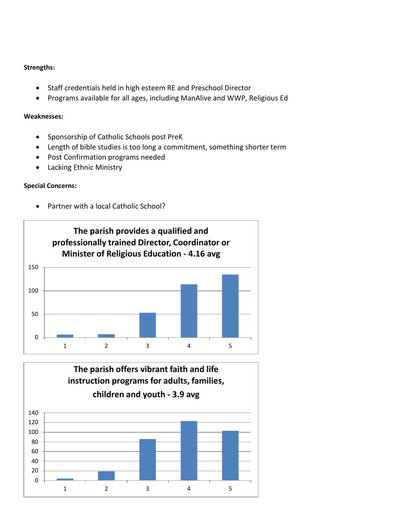## **Strengths:**

- Staff credentials held in high esteem RE and Preschool Director
- Programs available for all ages, including ManAlive and WWP, Religious Ed

#### **Weaknesses:**

- Sponsorship of Catholic Schools post PreK
- Length of bible studies is too long a commitment, something shorter term
- Post Confirmation programs needed
- Lacking Ethnic Ministry

## **Special Concerns:**

Partner with a local Catholic School?



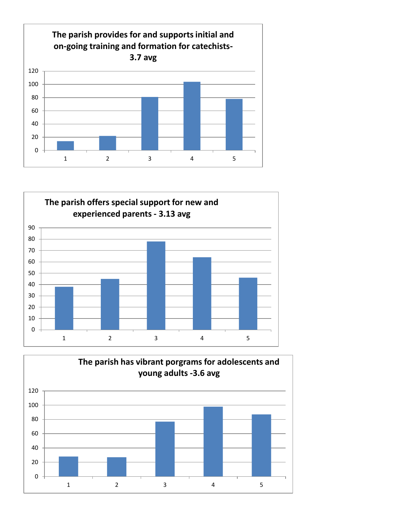



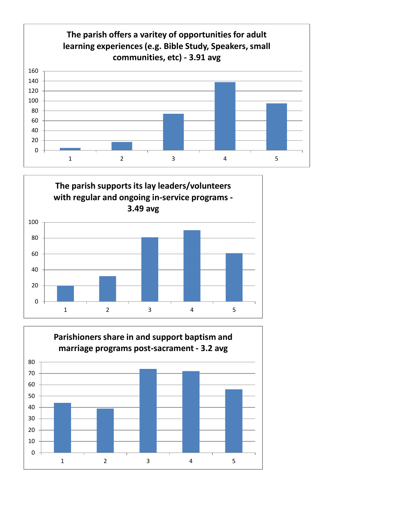



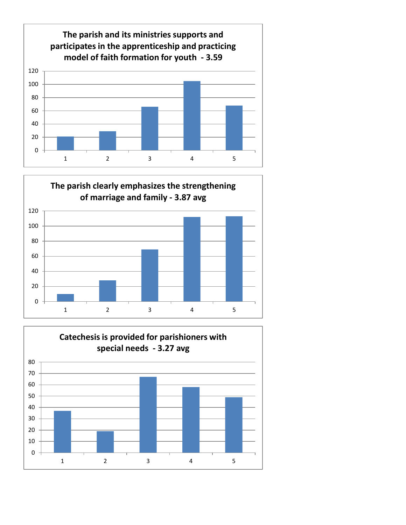



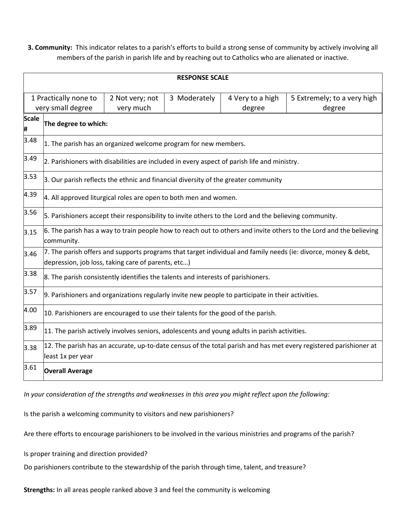**3. Community:** This indicator relates to a parish's efforts to build a strong sense of community by actively involving all members of the parish in parish life and by reaching out to Catholics who are alienated or inactive.

| <b>RESPONSE SCALE</b>                                                      |                                                                                                                                                                      |  |              |                            |                                       |  |  |
|----------------------------------------------------------------------------|----------------------------------------------------------------------------------------------------------------------------------------------------------------------|--|--------------|----------------------------|---------------------------------------|--|--|
| 1 Practically none to<br>2 Not very; not<br>very small degree<br>very much |                                                                                                                                                                      |  | 3 Moderately | 4 Very to a high<br>degree | 5 Extremely; to a very high<br>degree |  |  |
| <b>Scale</b><br>#                                                          | The degree to which:                                                                                                                                                 |  |              |                            |                                       |  |  |
| 3.48                                                                       | 1. The parish has an organized welcome program for new members.                                                                                                      |  |              |                            |                                       |  |  |
| 3.49                                                                       | 2. Parishioners with disabilities are included in every aspect of parish life and ministry.                                                                          |  |              |                            |                                       |  |  |
| 3.53                                                                       | $\vert$ 3. Our parish reflects the ethnic and financial diversity of the greater community                                                                           |  |              |                            |                                       |  |  |
| 4.39                                                                       | 4. All approved liturgical roles are open to both men and women.                                                                                                     |  |              |                            |                                       |  |  |
| 3.56                                                                       | 5. Parishioners accept their responsibility to invite others to the Lord and the believing community.                                                                |  |              |                            |                                       |  |  |
| 3.15                                                                       | 6. The parish has a way to train people how to reach out to others and invite others to the Lord and the believing<br>community.                                     |  |              |                            |                                       |  |  |
| 3.46                                                                       | 7. The parish offers and supports programs that target individual and family needs (ie: divorce, money & debt,<br>depression, job loss, taking care of parents, etc) |  |              |                            |                                       |  |  |
| 3.38                                                                       | 8. The parish consistently identifies the talents and interests of parishioners.                                                                                     |  |              |                            |                                       |  |  |
| 3.57                                                                       | 9. Parishioners and organizations regularly invite new people to participate in their activities.                                                                    |  |              |                            |                                       |  |  |
| 4.00                                                                       | 10. Parishioners are encouraged to use their talents for the good of the parish.                                                                                     |  |              |                            |                                       |  |  |
| 3.89                                                                       | 11. The parish actively involves seniors, adolescents and young adults in parish activities.                                                                         |  |              |                            |                                       |  |  |
| 3.38                                                                       | 12. The parish has an accurate, up-to-date census of the total parish and has met every registered parishioner at<br>least 1x per year                               |  |              |                            |                                       |  |  |
| 3.61                                                                       | <b>Overall Average</b>                                                                                                                                               |  |              |                            |                                       |  |  |

*In your consideration of the strengths and weaknesses in this area you might reflect upon the following:* 

Is the parish a welcoming community to visitors and new parishioners?

Are there efforts to encourage parishioners to be involved in the various ministries and programs of the parish?

Is proper training and direction provided?

Do parishioners contribute to the stewardship of the parish through time, talent, and treasure?

**Strengths:** In all areas people ranked above 3 and feel the community is welcoming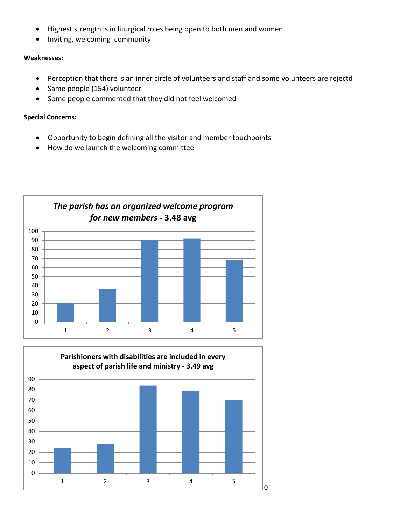- Highest strength is in liturgical roles being open to both men and women
- Inviting, welcoming community

#### **Weaknesses:**

- Perception that there is an inner circle of volunteers and staff and some volunteers are rejectd
- Same people (154) volunteer
- Some people commented that they did not feel welcomed

## **Special Concerns:**

- Opportunity to begin defining all the visitor and member touchpoints
- How do we launch the welcoming committee



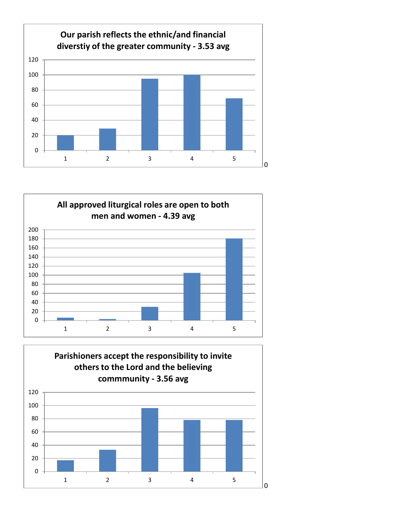



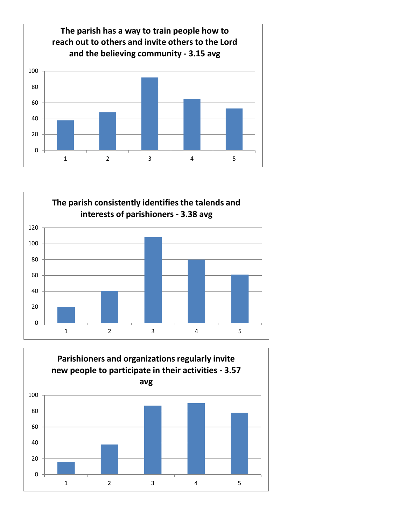



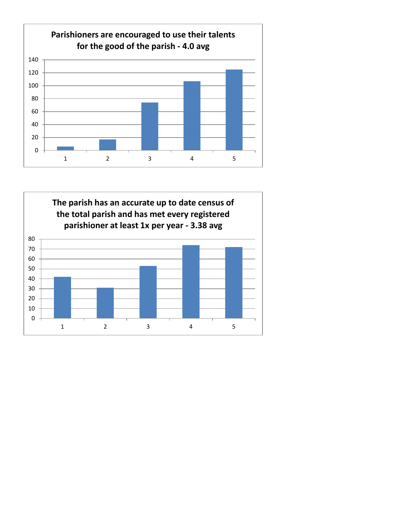

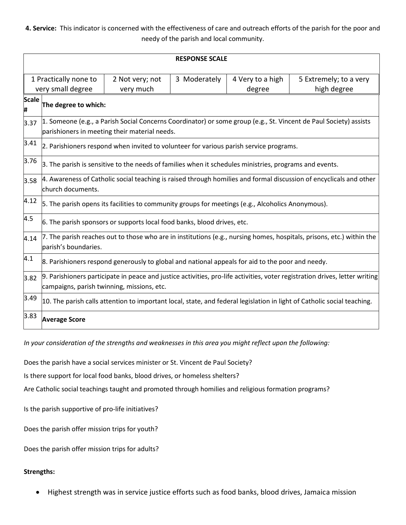**4. Service:** This indicator is concerned with the effectiveness of care and outreach efforts of the parish for the poor and needy of the parish and local community.

| <b>RESPONSE SCALE</b>                                   |                                                                                                                                                                           |                 |              |                            |                                       |  |
|---------------------------------------------------------|---------------------------------------------------------------------------------------------------------------------------------------------------------------------------|-----------------|--------------|----------------------------|---------------------------------------|--|
| 1 Practically none to<br>very small degree<br>very much |                                                                                                                                                                           | 2 Not very; not | 3 Moderately | 4 Very to a high<br>degree | 5 Extremely; to a very<br>high degree |  |
| <b>Scale</b><br>#                                       | The degree to which:                                                                                                                                                      |                 |              |                            |                                       |  |
| 3.37                                                    | 1. Someone (e.g., a Parish Social Concerns Coordinator) or some group (e.g., St. Vincent de Paul Society) assists<br>parishioners in meeting their material needs.        |                 |              |                            |                                       |  |
| 3.41                                                    | 2. Parishioners respond when invited to volunteer for various parish service programs.                                                                                    |                 |              |                            |                                       |  |
| 3.76                                                    | 3. The parish is sensitive to the needs of families when it schedules ministries, programs and events.                                                                    |                 |              |                            |                                       |  |
| 3.58                                                    | 4. Awareness of Catholic social teaching is raised through homilies and formal discussion of encyclicals and other<br>church documents.                                   |                 |              |                            |                                       |  |
| 4.12                                                    | 5. The parish opens its facilities to community groups for meetings (e.g., Alcoholics Anonymous).                                                                         |                 |              |                            |                                       |  |
| 4.5                                                     | 6. The parish sponsors or supports local food banks, blood drives, etc.                                                                                                   |                 |              |                            |                                       |  |
| 4.14                                                    | 7. The parish reaches out to those who are in institutions (e.g., nursing homes, hospitals, prisons, etc.) within the<br>parish's boundaries.                             |                 |              |                            |                                       |  |
| 4.1                                                     | 8. Parishioners respond generously to global and national appeals for aid to the poor and needy.                                                                          |                 |              |                            |                                       |  |
| 3.82                                                    | 9. Parishioners participate in peace and justice activities, pro-life activities, voter registration drives, letter writing<br>campaigns, parish twinning, missions, etc. |                 |              |                            |                                       |  |
| 3.49                                                    | 10. The parish calls attention to important local, state, and federal legislation in light of Catholic social teaching.                                                   |                 |              |                            |                                       |  |
| 3.83                                                    | <b>Average Score</b>                                                                                                                                                      |                 |              |                            |                                       |  |

*In your consideration of the strengths and weaknesses in this area you might reflect upon the following:* 

Does the parish have a social services minister or St. Vincent de Paul Society?

Is there support for local food banks, blood drives, or homeless shelters?

Are Catholic social teachings taught and promoted through homilies and religious formation programs?

Is the parish supportive of pro-life initiatives?

Does the parish offer mission trips for youth?

Does the parish offer mission trips for adults?

## **Strengths:**

Highest strength was in service justice efforts such as food banks, blood drives, Jamaica mission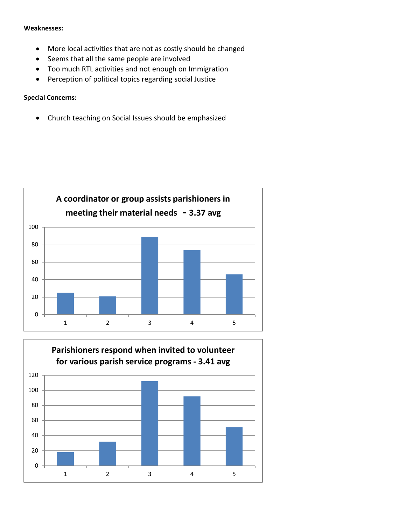#### **Weaknesses:**

- More local activities that are not as costly should be changed
- Seems that all the same people are involved
- Too much RTL activities and not enough on Immigration
- Perception of political topics regarding social Justice

## **Special Concerns:**

Church teaching on Social Issues should be emphasized



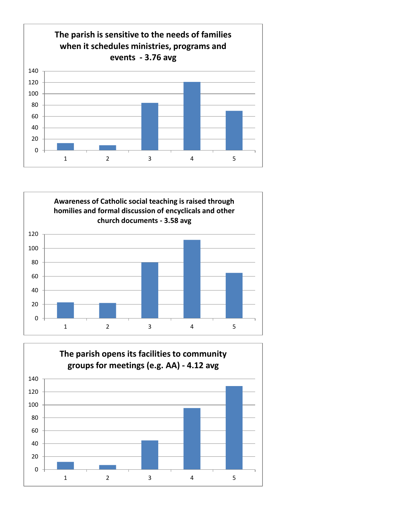



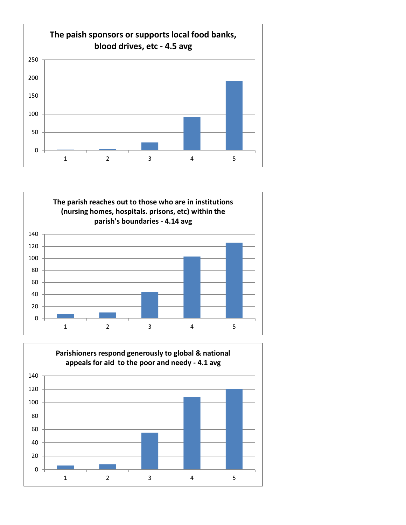



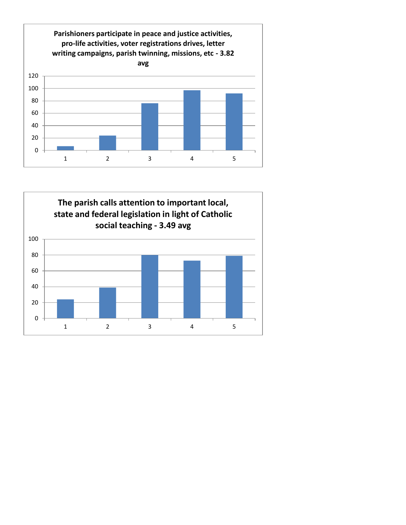

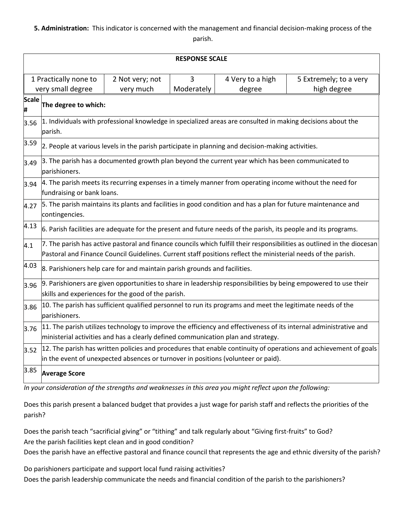## **5. Administration:** This indicator is concerned with the management and financial decision-making process of the parish.

|                                                                                 | <b>RESPONSE SCALE</b>                                                                                                                                                                                                                    |  |            |                            |                                       |  |  |
|---------------------------------------------------------------------------------|------------------------------------------------------------------------------------------------------------------------------------------------------------------------------------------------------------------------------------------|--|------------|----------------------------|---------------------------------------|--|--|
| 1 Practically none to<br>3<br>2 Not very; not<br>very small degree<br>very much |                                                                                                                                                                                                                                          |  | Moderately | 4 Very to a high<br>degree | 5 Extremely; to a very<br>high degree |  |  |
| <b>Scale</b><br>#                                                               | The degree to which:                                                                                                                                                                                                                     |  |            |                            |                                       |  |  |
| 3.56                                                                            | 1. Individuals with professional knowledge in specialized areas are consulted in making decisions about the<br>parish.                                                                                                                   |  |            |                            |                                       |  |  |
| 3.59                                                                            | 2. People at various levels in the parish participate in planning and decision-making activities.                                                                                                                                        |  |            |                            |                                       |  |  |
| 3.49                                                                            | 3. The parish has a documented growth plan beyond the current year which has been communicated to<br>parishioners.                                                                                                                       |  |            |                            |                                       |  |  |
| 3.94                                                                            | 4. The parish meets its recurring expenses in a timely manner from operating income without the need for<br>fundraising or bank loans.                                                                                                   |  |            |                            |                                       |  |  |
| 4.27                                                                            | 5. The parish maintains its plants and facilities in good condition and has a plan for future maintenance and<br>contingencies.                                                                                                          |  |            |                            |                                       |  |  |
| 4.13                                                                            | 6. Parish facilities are adequate for the present and future needs of the parish, its people and its programs.                                                                                                                           |  |            |                            |                                       |  |  |
| 4.1                                                                             | 7. The parish has active pastoral and finance councils which fulfill their responsibilities as outlined in the diocesan<br>Pastoral and Finance Council Guidelines. Current staff positions reflect the ministerial needs of the parish. |  |            |                            |                                       |  |  |
| 4.03                                                                            | 8. Parishioners help care for and maintain parish grounds and facilities.                                                                                                                                                                |  |            |                            |                                       |  |  |
| 3.96                                                                            | 9. Parishioners are given opportunities to share in leadership responsibilities by being empowered to use their<br>skills and experiences for the good of the parish.                                                                    |  |            |                            |                                       |  |  |
| 3.86                                                                            | 10. The parish has sufficient qualified personnel to run its programs and meet the legitimate needs of the<br>parishioners.                                                                                                              |  |            |                            |                                       |  |  |
| 3.76                                                                            | 11. The parish utilizes technology to improve the efficiency and effectiveness of its internal administrative and<br>ministerial activities and has a clearly defined communication plan and strategy.                                   |  |            |                            |                                       |  |  |
| 3.52                                                                            | 12. The parish has written policies and procedures that enable continuity of operations and achievement of goals<br>in the event of unexpected absences or turnover in positions (volunteer or paid).                                    |  |            |                            |                                       |  |  |
| 3.85                                                                            | <b>Average Score</b>                                                                                                                                                                                                                     |  |            |                            |                                       |  |  |

*In your consideration of the strengths and weaknesses in this area you might reflect upon the following:* 

Does this parish present a balanced budget that provides a just wage for parish staff and reflects the priorities of the parish?

Does the parish teach "sacrificial giving" or "tithing" and talk regularly about "Giving first-fruits" to God? Are the parish facilities kept clean and in good condition?

Does the parish have an effective pastoral and finance council that represents the age and ethnic diversity of the parish?

Do parishioners participate and support local fund raising activities? Does the parish leadership communicate the needs and financial condition of the parish to the parishioners?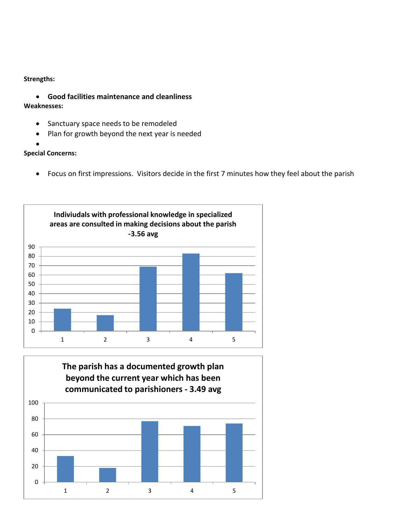#### **Strengths:**

- **Good facilities maintenance and cleanliness**
- **Weaknesses:** 
	- Sanctuary space needs to be remodeled
	- Plan for growth beyond the next year is needed
	- $\bullet$

# **Special Concerns:**

Focus on first impressions. Visitors decide in the first 7 minutes how they feel about the parish



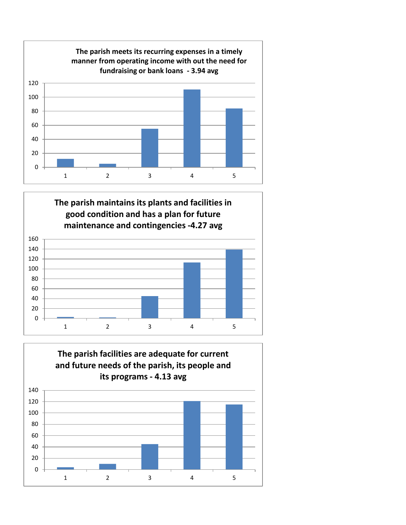



# **The parish facilities are adequate for current and future needs of the parish, its people and its programs - 4.13 avg**

2 3 4 5

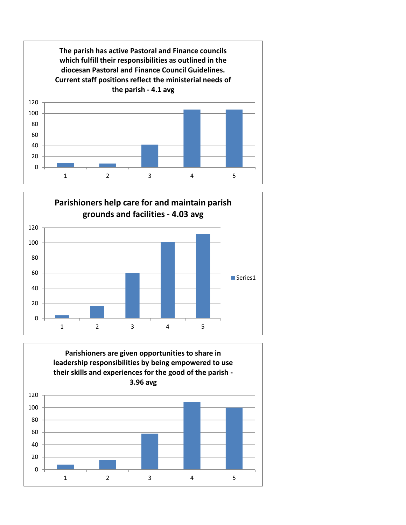



**Parishioners are given opportunities to share in leadership responsibilities by being empowered to use their skills and experiences for the good of the parish -**